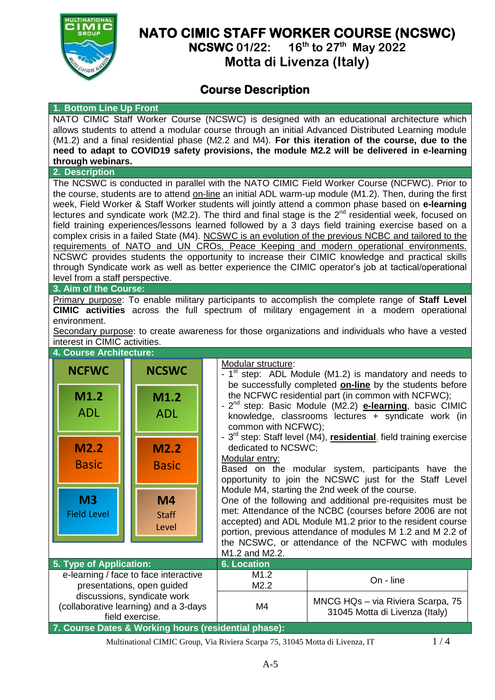

# **NATO CIMIC STAFF WORKER COURSE (NCSWC)**

**NCSWC 01/22: 16 th to 27 th May 2022**

**Motta di Livenza (Italy)**

## **Course Description**

#### **1. Bottom Line Up Front**

NATO CIMIC Staff Worker Course (NCSWC) is designed with an educational architecture which allows students to attend a modular course through an initial Advanced Distributed Learning module (M1.2) and a final residential phase (M2.2 and M4). **For this iteration of the course, due to the need to adapt to COVID19 safety provisions, the module M2.2 will be delivered in e-learning through webinars.**

### **2. Description**

The NCSWC is conducted in parallel with the NATO CIMIC Field Worker Course (NCFWC). Prior to the course, students are to attend on-line an initial ADL warm-up module (M1.2). Then, during the first week, Field Worker & Staff Worker students will jointly attend a common phase based on **e-learning** lectures and syndicate work (M2.2). The third and final stage is the  $2^{nd}$  residential week, focused on field training experiences/lessons learned followed by a 3 days field training exercise based on a complex crisis in a failed State (M4). NCSWC is an evolution of the previous NCBC and tailored to the requirements of NATO and UN CROs, Peace Keeping and modern operational environments. NCSWC provides students the opportunity to increase their CIMIC knowledge and practical skills through Syndicate work as well as better experience the CIMIC operator's job at tactical/operational level from a staff perspective.

#### **3. Aim of the Course:**

Primary purpose: To enable military participants to accomplish the complete range of **Staff Level CIMIC activities** across the full spectrum of military engagement in a modern operational environment.

Secondary purpose: to create awareness for those organizations and individuals who have a vested interest in CIMIC activities.



field exercise.

**7. Course Dates & Working hours (residential phase):**



Multinational CIMIC Group, Via Riviera Scarpa 75, 31045 Motta di Livenza, IT 1/4

31045 Motta di Livenza (Italy)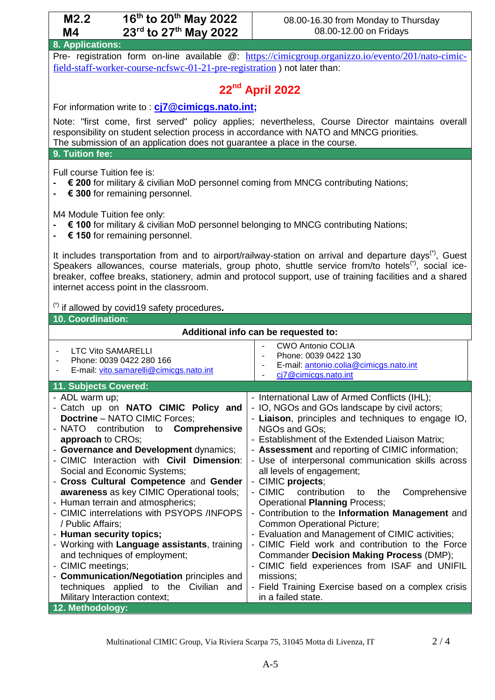| 16 <sup>th</sup> to 20 <sup>th</sup> May 2022<br>M2.2<br>23rd to 27th May 2022<br><b>M4</b>                         |                                | 08.00-16.30 from Monday to Thursday<br>08.00-12.00 on Fridays                                           |  |  |                  |  |
|---------------------------------------------------------------------------------------------------------------------|--------------------------------|---------------------------------------------------------------------------------------------------------|--|--|------------------|--|
|                                                                                                                     |                                |                                                                                                         |  |  | 8. Applications: |  |
| Pre- registration form on-line available @: https://cimicgroup.organizzo.jo/evento/201/nato-cimic-                  |                                |                                                                                                         |  |  |                  |  |
| field-staff-worker-course-ncfswc-01-21-pre-registration) not later than:                                            |                                |                                                                                                         |  |  |                  |  |
|                                                                                                                     | 22 <sup>nd</sup> April 2022    |                                                                                                         |  |  |                  |  |
| For information write to: <b>cj7@cimicgs.nato.int;</b>                                                              |                                |                                                                                                         |  |  |                  |  |
| Note: "first come, first served" policy applies; nevertheless, Course Director maintains overall                    |                                |                                                                                                         |  |  |                  |  |
| responsibility on student selection process in accordance with NATO and MNCG priorities.                            |                                |                                                                                                         |  |  |                  |  |
| The submission of an application does not guarantee a place in the course.<br>9. Tuition fee:                       |                                |                                                                                                         |  |  |                  |  |
|                                                                                                                     |                                |                                                                                                         |  |  |                  |  |
| Full course Tuition fee is:                                                                                         |                                |                                                                                                         |  |  |                  |  |
| € 300 for remaining personnel.                                                                                      |                                | € 200 for military & civilian MoD personnel coming from MNCG contributing Nations;                      |  |  |                  |  |
|                                                                                                                     |                                |                                                                                                         |  |  |                  |  |
| M4 Module Tuition fee only:                                                                                         |                                |                                                                                                         |  |  |                  |  |
| € 100 for military & civilian MoD personnel belonging to MNCG contributing Nations;                                 |                                |                                                                                                         |  |  |                  |  |
|                                                                                                                     | € 150 for remaining personnel. |                                                                                                         |  |  |                  |  |
| It includes transportation from and to airport/railway-station on arrival and departure days <sup>(*)</sup> , Guest |                                |                                                                                                         |  |  |                  |  |
| Speakers allowances, course materials, group photo, shuttle service from/to hotels <sup>(*)</sup> , social ice-     |                                |                                                                                                         |  |  |                  |  |
| internet access point in the classroom.                                                                             |                                | breaker, coffee breaks, stationery, admin and protocol support, use of training facilities and a shared |  |  |                  |  |
|                                                                                                                     |                                |                                                                                                         |  |  |                  |  |
| (*) if allowed by covid19 safety procedures.                                                                        |                                |                                                                                                         |  |  |                  |  |
| 10. Coordination:                                                                                                   |                                |                                                                                                         |  |  |                  |  |
| Additional info can be requested to:                                                                                |                                |                                                                                                         |  |  |                  |  |
|                                                                                                                     |                                |                                                                                                         |  |  |                  |  |
| <b>LTC Vito SAMARELLI</b><br>$\overline{\phantom{a}}$                                                               |                                | <b>CWO Antonio COLIA</b>                                                                                |  |  |                  |  |
| Phone: 0039 0422 280 166<br>$\overline{\phantom{a}}$                                                                |                                | Phone: 0039 0422 130                                                                                    |  |  |                  |  |
| E-mail: vito.samarelli@cimicgs.nato.int                                                                             |                                | E-mail: antonio.colia@cimicgs.nato.int<br>cj7@cimicgs.nato.int                                          |  |  |                  |  |
| 11. Subjects Covered:                                                                                               |                                |                                                                                                         |  |  |                  |  |
| - ADL warm up;                                                                                                      |                                | - International Law of Armed Conflicts (IHL);                                                           |  |  |                  |  |
| - Catch up on NATO CIMIC Policy and                                                                                 |                                | - IO, NGOs and GOs landscape by civil actors;                                                           |  |  |                  |  |
| <b>Doctrine - NATO CIMIC Forces;</b><br>NATO<br>contribution<br>to                                                  | Comprehensive                  | - Liaison, principles and techniques to engage IO,<br>NGOs and GOs;                                     |  |  |                  |  |
| approach to CROs;                                                                                                   |                                | - Establishment of the Extended Liaison Matrix;                                                         |  |  |                  |  |
| - Governance and Development dynamics;                                                                              |                                | - Assessment and reporting of CIMIC information;                                                        |  |  |                  |  |
| - CIMIC Interaction with Civil Dimension:                                                                           |                                | - Use of interpersonal communication skills across                                                      |  |  |                  |  |
| Social and Economic Systems;                                                                                        |                                | all levels of engagement;                                                                               |  |  |                  |  |
| - Cross Cultural Competence and Gender<br>awareness as key CIMIC Operational tools;                                 |                                | - CIMIC projects;<br>- CIMIC<br>contribution<br>Comprehensive<br>the<br>to                              |  |  |                  |  |
| - Human terrain and atmospherics;                                                                                   |                                | <b>Operational Planning Process;</b>                                                                    |  |  |                  |  |
| - CIMIC interrelations with PSYOPS /INFOPS                                                                          |                                | - Contribution to the Information Management and                                                        |  |  |                  |  |
| / Public Affairs;                                                                                                   |                                | Common Operational Picture;                                                                             |  |  |                  |  |
| - Human security topics;<br>- Working with Language assistants, training                                            |                                | - Evaluation and Management of CIMIC activities;<br>- CIMIC Field work and contribution to the Force    |  |  |                  |  |
| and techniques of employment;                                                                                       |                                | Commander Decision Making Process (DMP);                                                                |  |  |                  |  |
| - CIMIC meetings;                                                                                                   |                                | - CIMIC field experiences from ISAF and UNIFIL                                                          |  |  |                  |  |
| - Communication/Negotiation principles and                                                                          |                                | missions;                                                                                               |  |  |                  |  |
| techniques applied to the Civilian and<br>Military Interaction context;                                             |                                | - Field Training Exercise based on a complex crisis<br>in a failed state.                               |  |  |                  |  |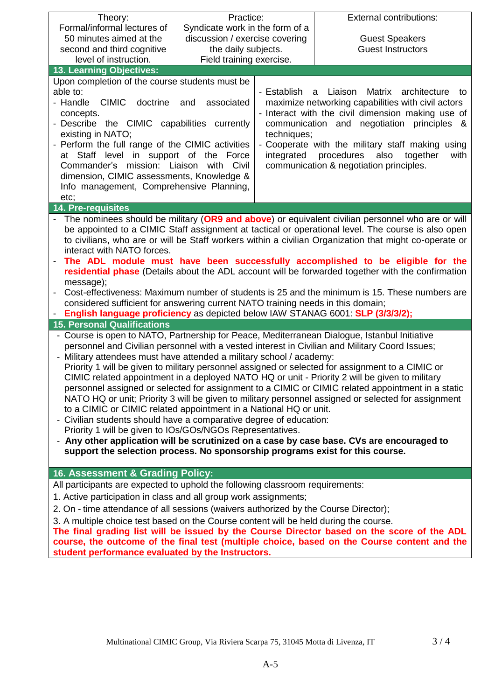| Theory:                                                                                                                                                                                        | Practice:                       |             | <b>External contributions:</b>                                                                     |  |  |
|------------------------------------------------------------------------------------------------------------------------------------------------------------------------------------------------|---------------------------------|-------------|----------------------------------------------------------------------------------------------------|--|--|
| Formal/informal lectures of                                                                                                                                                                    | Syndicate work in the form of a |             |                                                                                                    |  |  |
| 50 minutes aimed at the                                                                                                                                                                        | discussion / exercise covering  |             | <b>Guest Speakers</b>                                                                              |  |  |
| second and third cognitive                                                                                                                                                                     | the daily subjects.             |             | <b>Guest Instructors</b>                                                                           |  |  |
| level of instruction.                                                                                                                                                                          | Field training exercise.        |             |                                                                                                    |  |  |
| 13. Learning Objectives:                                                                                                                                                                       |                                 |             |                                                                                                    |  |  |
| Upon completion of the course students must be                                                                                                                                                 |                                 |             |                                                                                                    |  |  |
| able to:                                                                                                                                                                                       |                                 | - Establish | Liaison<br>Matrix<br>architecture<br>a<br>to                                                       |  |  |
| - Handle<br><b>CIMIC</b><br>doctrine                                                                                                                                                           | associated<br>and               |             | maximize networking capabilities with civil actors                                                 |  |  |
| concepts.                                                                                                                                                                                      |                                 |             | - Interact with the civil dimension making use of                                                  |  |  |
| - Describe the CIMIC capabilities currently                                                                                                                                                    |                                 |             | communication and negotiation principles &                                                         |  |  |
| existing in NATO;                                                                                                                                                                              |                                 | techniques; |                                                                                                    |  |  |
| - Perform the full range of the CIMIC activities                                                                                                                                               |                                 |             | - Cooperate with the military staff making using                                                   |  |  |
| at Staff level in support of the Force                                                                                                                                                         |                                 | integrated  | procedures<br>also<br>together<br>with                                                             |  |  |
| Commander's mission: Liaison with Civil                                                                                                                                                        |                                 |             | communication & negotiation principles.                                                            |  |  |
| dimension, CIMIC assessments, Knowledge &                                                                                                                                                      |                                 |             |                                                                                                    |  |  |
| Info management, Comprehensive Planning,                                                                                                                                                       |                                 |             |                                                                                                    |  |  |
| etc;                                                                                                                                                                                           |                                 |             |                                                                                                    |  |  |
| 14. Pre-requisites                                                                                                                                                                             |                                 |             |                                                                                                    |  |  |
|                                                                                                                                                                                                |                                 |             | The nominees should be military (OR9 and above) or equivalent civilian personnel who are or will   |  |  |
|                                                                                                                                                                                                |                                 |             | be appointed to a CIMIC Staff assignment at tactical or operational level. The course is also open |  |  |
| to civilians, who are or will be Staff workers within a civilian Organization that might co-operate or                                                                                         |                                 |             |                                                                                                    |  |  |
| interact with NATO forces.                                                                                                                                                                     |                                 |             |                                                                                                    |  |  |
| The ADL module must have been successfully accomplished to be eligible for the<br>residential phase (Details about the ADL account will be forwarded together with the confirmation            |                                 |             |                                                                                                    |  |  |
|                                                                                                                                                                                                |                                 |             |                                                                                                    |  |  |
| message);                                                                                                                                                                                      |                                 |             |                                                                                                    |  |  |
| Cost-effectiveness: Maximum number of students is 25 and the minimum is 15. These numbers are<br>considered sufficient for answering current NATO training needs in this domain;               |                                 |             |                                                                                                    |  |  |
| English language proficiency as depicted below IAW STANAG 6001: SLP (3/3/3/2);                                                                                                                 |                                 |             |                                                                                                    |  |  |
| <b>15. Personal Qualifications</b>                                                                                                                                                             |                                 |             |                                                                                                    |  |  |
|                                                                                                                                                                                                |                                 |             |                                                                                                    |  |  |
| - Course is open to NATO, Partnership for Peace, Mediterranean Dialogue, Istanbul Initiative<br>personnel and Civilian personnel with a vested interest in Civilian and Military Coord Issues; |                                 |             |                                                                                                    |  |  |
| - Military attendees must have attended a military school / academy:                                                                                                                           |                                 |             |                                                                                                    |  |  |
| Priority 1 will be given to military personnel assigned or selected for assignment to a CIMIC or                                                                                               |                                 |             |                                                                                                    |  |  |
| CIMIC related appointment in a deployed NATO HQ or unit - Priority 2 will be given to military                                                                                                 |                                 |             |                                                                                                    |  |  |
| personnel assigned or selected for assignment to a CIMIC or CIMIC related appointment in a static                                                                                              |                                 |             |                                                                                                    |  |  |
| NATO HQ or unit; Priority 3 will be given to military personnel assigned or selected for assignment                                                                                            |                                 |             |                                                                                                    |  |  |
| to a CIMIC or CIMIC related appointment in a National HQ or unit.                                                                                                                              |                                 |             |                                                                                                    |  |  |
| - Civilian students should have a comparative degree of education:                                                                                                                             |                                 |             |                                                                                                    |  |  |
| Priority 1 will be given to IOs/GOs/NGOs Representatives.                                                                                                                                      |                                 |             |                                                                                                    |  |  |
| - Any other application will be scrutinized on a case by case base. CVs are encouraged to                                                                                                      |                                 |             |                                                                                                    |  |  |
| support the selection process. No sponsorship programs exist for this course.                                                                                                                  |                                 |             |                                                                                                    |  |  |
|                                                                                                                                                                                                |                                 |             |                                                                                                    |  |  |
| 16. Assessment & Grading Policy:                                                                                                                                                               |                                 |             |                                                                                                    |  |  |
| All participants are expected to uphold the following classroom requirements:                                                                                                                  |                                 |             |                                                                                                    |  |  |
| 1. Active participation in class and all group work assignments;                                                                                                                               |                                 |             |                                                                                                    |  |  |
| 2. On - time attendance of all sessions (waivers authorized by the Course Director);                                                                                                           |                                 |             |                                                                                                    |  |  |
| 3. A multiple choice test based on the Course content will be held during the course.                                                                                                          |                                 |             |                                                                                                    |  |  |
| The final grading list will be issued by the Course Director based on the score of the ADL                                                                                                     |                                 |             |                                                                                                    |  |  |
| course, the outcome of the final test (multiple choice, based on the Course content and the                                                                                                    |                                 |             |                                                                                                    |  |  |
| student performance evaluated by the Instructors.                                                                                                                                              |                                 |             |                                                                                                    |  |  |